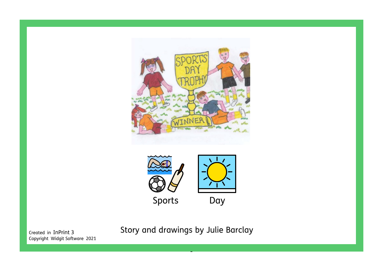



Copyright Widgit Software 2021

Created in InPrint 3 Story and drawings by Julie Barclay

-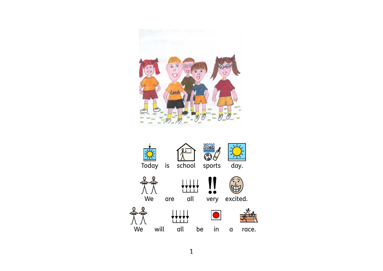

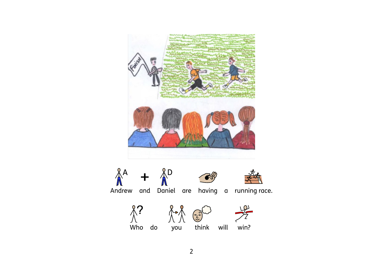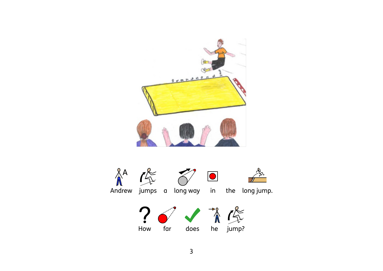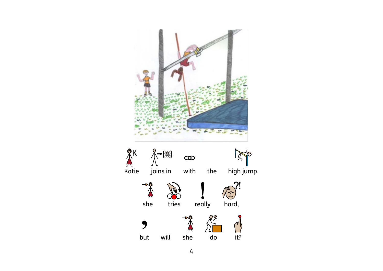

4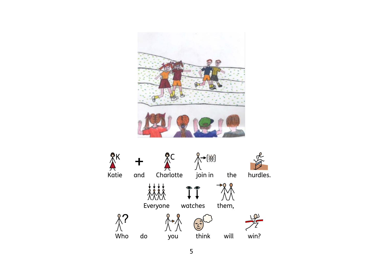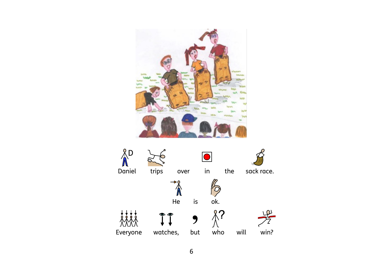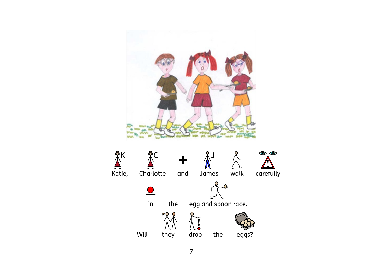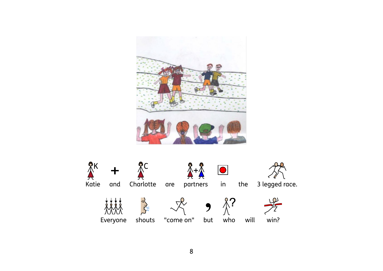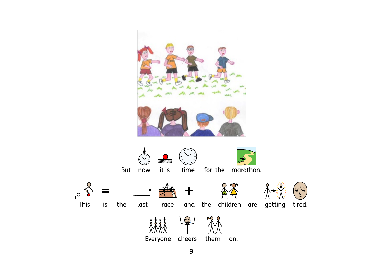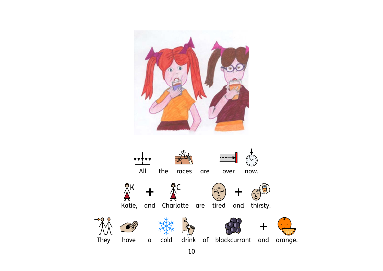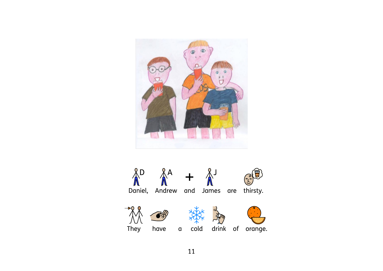

 $\bigwedge^{\mathbb{R}^D} \bigwedge^{\mathbb{R}^A}$  **+**  $\bigwedge^{\mathbb{R}^J}$ <br>Daniel, Andrew and James are thirsty.  $M^+$ They have a cold drink of orange.  $\rightarrow$